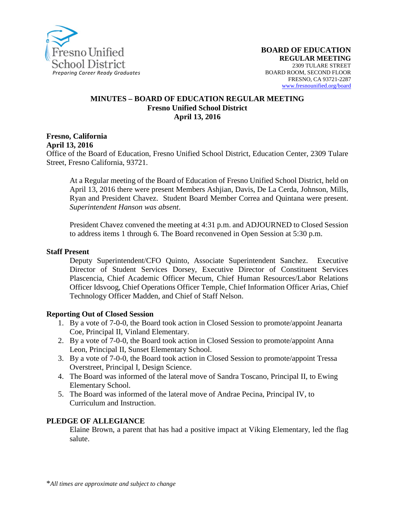

#### **MINUTES – BOARD OF EDUCATION REGULAR MEETING Fresno Unified School District April 13, 2016**

**Fresno, California April 13, 2016**

Office of the Board of Education, Fresno Unified School District, Education Center, 2309 Tulare Street, Fresno California, 93721.

At a Regular meeting of the Board of Education of Fresno Unified School District, held on April 13, 2016 there were present Members Ashjian, Davis, De La Cerda, Johnson, Mills, Ryan and President Chavez. Student Board Member Correa and Quintana were present. *Superintendent Hanson was absent*.

President Chavez convened the meeting at 4:31 p.m. and ADJOURNED to Closed Session to address items 1 through 6. The Board reconvened in Open Session at 5:30 p.m.

#### **Staff Present**

Deputy Superintendent/CFO Quinto, Associate Superintendent Sanchez. Executive Director of Student Services Dorsey, Executive Director of Constituent Services Plascencia, Chief Academic Officer Mecum, Chief Human Resources/Labor Relations Officer Idsvoog, Chief Operations Officer Temple, Chief Information Officer Arias, Chief Technology Officer Madden, and Chief of Staff Nelson.

#### **Reporting Out of Closed Session**

- 1. By a vote of 7-0-0, the Board took action in Closed Session to promote/appoint Jeanarta Coe, Principal II, Vinland Elementary.
- 2. By a vote of 7-0-0, the Board took action in Closed Session to promote/appoint Anna Leon, Principal II, Sunset Elementary School.
- 3. By a vote of 7-0-0, the Board took action in Closed Session to promote/appoint Tressa Overstreet, Principal I, Design Science.
- 4. The Board was informed of the lateral move of Sandra Toscano, Principal II, to Ewing Elementary School.
- 5. The Board was informed of the lateral move of Andrae Pecina, Principal IV, to Curriculum and Instruction.

#### **PLEDGE OF ALLEGIANCE**

Elaine Brown, a parent that has had a positive impact at Viking Elementary, led the flag salute.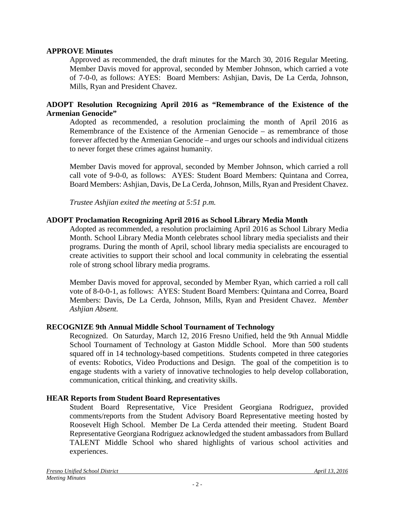### **APPROVE Minutes**

Approved as recommended, the draft minutes for the March 30, 2016 Regular Meeting. Member Davis moved for approval, seconded by Member Johnson, which carried a vote of 7-0-0, as follows: AYES: Board Members: Ashjian, Davis, De La Cerda, Johnson, Mills, Ryan and President Chavez.

### **ADOPT Resolution Recognizing April 2016 as "Remembrance of the Existence of the Armenian Genocide"**

Adopted as recommended, a resolution proclaiming the month of April 2016 as Remembrance of the Existence of the Armenian Genocide – as remembrance of those forever affected by the Armenian Genocide – and urges our schools and individual citizens to never forget these crimes against humanity.

Member Davis moved for approval, seconded by Member Johnson, which carried a roll call vote of 9-0-0, as follows: AYES: Student Board Members: Quintana and Correa, Board Members: Ashjian, Davis, De La Cerda, Johnson, Mills, Ryan and President Chavez.

*Trustee Ashjian exited the meeting at 5:51 p.m.*

### **ADOPT Proclamation Recognizing April 2016 as School Library Media Month**

Adopted as recommended, a resolution proclaiming April 2016 as School Library Media Month. School Library Media Month celebrates school library media specialists and their programs. During the month of April, school library media specialists are encouraged to create activities to support their school and local community in celebrating the essential role of strong school library media programs.

Member Davis moved for approval, seconded by Member Ryan, which carried a roll call vote of 8-0-0-1, as follows: AYES: Student Board Members: Quintana and Correa, Board Members: Davis, De La Cerda, Johnson, Mills, Ryan and President Chavez. *Member Ashjian Absent.*

#### **RECOGNIZE 9th Annual Middle School Tournament of Technology**

Recognized. On Saturday, March 12, 2016 Fresno Unified, held the 9th Annual Middle School Tournament of Technology at Gaston Middle School. More than 500 students squared off in 14 technology-based competitions. Students competed in three categories of events: Robotics, Video Productions and Design. The goal of the competition is to engage students with a variety of innovative technologies to help develop collaboration, communication, critical thinking, and creativity skills.

#### **HEAR Reports from Student Board Representatives**

Student Board Representative, Vice President Georgiana Rodriguez, provided comments/reports from the Student Advisory Board Representative meeting hosted by Roosevelt High School. Member De La Cerda attended their meeting. Student Board Representative Georgiana Rodriguez acknowledged the student ambassadors from Bullard TALENT Middle School who shared highlights of various school activities and experiences.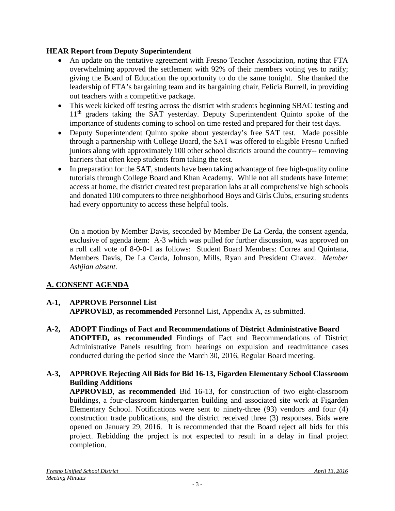# **HEAR Report from Deputy Superintendent**

- An update on the tentative agreement with Fresno Teacher Association, noting that FTA overwhelming approved the settlement with 92% of their members voting yes to ratify; giving the Board of Education the opportunity to do the same tonight. She thanked the leadership of FTA's bargaining team and its bargaining chair, Felicia Burrell, in providing out teachers with a competitive package.
- This week kicked off testing across the district with students beginning SBAC testing and 11<sup>th</sup> graders taking the SAT yesterday. Deputy Superintendent Quinto spoke of the importance of students coming to school on time rested and prepared for their test days.
- Deputy Superintendent Quinto spoke about yesterday's free SAT test. Made possible through a partnership with College Board, the SAT was offered to eligible Fresno Unified juniors along with approximately 100 other school districts around the country-- removing barriers that often keep students from taking the test.
- In preparation for the SAT, students have been taking advantage of free high-quality online tutorials through College Board and Khan Academy. While not all students have Internet access at home, the district created test preparation labs at all comprehensive high schools and donated 100 computers to three neighborhood Boys and Girls Clubs, ensuring students had every opportunity to access these helpful tools.

On a motion by Member Davis, seconded by Member De La Cerda, the consent agenda, exclusive of agenda item: A-3 which was pulled for further discussion, was approved on a roll call vote of 8-0-0-1 as follows: Student Board Members: Correa and Quintana, Members Davis, De La Cerda, Johnson, Mills, Ryan and President Chavez. *Member Ashjian absent.*

# **A. CONSENT AGENDA**

# **A-1, APPROVE Personnel List**

**APPROVED**, **as recommended** Personnel List, Appendix A, as submitted.

**A-2, ADOPT Findings of Fact and Recommendations of District Administrative Board ADOPTED, as recommended** Findings of Fact and Recommendations of District Administrative Panels resulting from hearings on expulsion and readmittance cases conducted during the period since the March 30, 2016, Regular Board meeting.

# **A-3, APPROVE Rejecting All Bids for Bid 16-13, Figarden Elementary School Classroom Building Additions**

**APPROVED**, **as recommended** Bid 16-13, for construction of two eight-classroom buildings, a four-classroom kindergarten building and associated site work at Figarden Elementary School. Notifications were sent to ninety-three (93) vendors and four (4) construction trade publications, and the district received three (3) responses. Bids were opened on January 29, 2016. It is recommended that the Board reject all bids for this project. Rebidding the project is not expected to result in a delay in final project completion.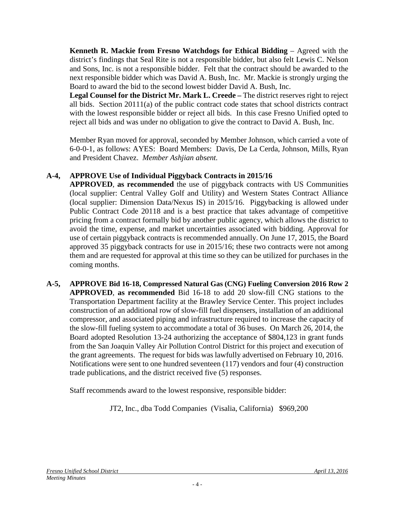**Kenneth R. Mackie from Fresno Watchdogs for Ethical Bidding** – Agreed with the district's findings that Seal Rite is not a responsible bidder, but also felt Lewis C. Nelson and Sons, Inc. is not a responsible bidder. Felt that the contract should be awarded to the next responsible bidder which was David A. Bush, Inc. Mr. Mackie is strongly urging the Board to award the bid to the second lowest bidder David A. Bush, Inc.

**Legal Counsel for the District Mr. Mark L. Creede –** The district reserves right to reject all bids. Section  $20111(a)$  of the public contract code states that school districts contract with the lowest responsible bidder or reject all bids. In this case Fresno Unified opted to reject all bids and was under no obligation to give the contract to David A. Bush, Inc.

Member Ryan moved for approval, seconded by Member Johnson, which carried a vote of 6-0-0-1, as follows: AYES: Board Members: Davis, De La Cerda, Johnson, Mills, Ryan and President Chavez. *Member Ashjian absent.*

# **A-4, APPROVE Use of Individual Piggyback Contracts in 2015/16**

**APPROVED**, **as recommended** the use of piggyback contracts with US Communities (local supplier: Central Valley Golf and Utility) and Western States Contract Alliance (local supplier: Dimension Data/Nexus IS) in 2015/16. Piggybacking is allowed under Public Contract Code 20118 and is a best practice that takes advantage of competitive pricing from a contract formally bid by another public agency, which allows the district to avoid the time, expense, and market uncertainties associated with bidding. Approval for use of certain piggyback contracts is recommended annually. On June 17, 2015, the Board approved 35 piggyback contracts for use in 2015/16; these two contracts were not among them and are requested for approval at this time so they can be utilized for purchases in the coming months.

**A-5, APPROVE Bid 16-18, Compressed Natural Gas (CNG) Fueling Conversion 2016 Row 2 APPROVED**, **as recommended** Bid 16-18 to add 20 slow-fill CNG stations to the Transportation Department facility at the Brawley Service Center. This project includes construction of an additional row of slow-fill fuel dispensers, installation of an additional compressor, and associated piping and infrastructure required to increase the capacity of the slow-fill fueling system to accommodate a total of 36 buses. On March 26, 2014, the Board adopted Resolution 13-24 authorizing the acceptance of \$804,123 in grant funds from the San Joaquin Valley Air Pollution Control District for this project and execution of the grant agreements. The request for bids was lawfully advertised on February 10, 2016. Notifications were sent to one hundred seventeen (117) vendors and four (4) construction trade publications, and the district received five (5) responses.

Staff recommends award to the lowest responsive, responsible bidder:

JT2, Inc., dba Todd Companies (Visalia, California) \$969,200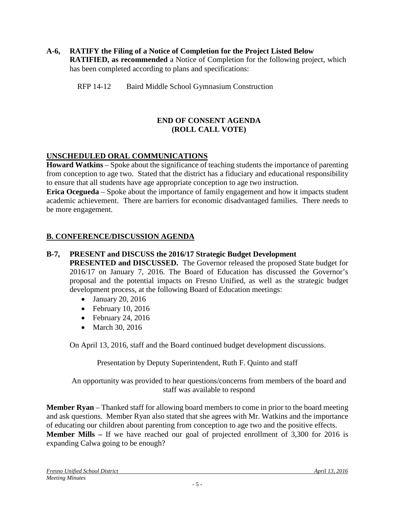#### **A-6, RATIFY the Filing of a Notice of Completion for the Project Listed Below RATIFIED, as recommended** a Notice of Completion for the following project, which has been completed according to plans and specifications:

RFP 14-12 Baird Middle School Gymnasium Construction

# **END OF CONSENT AGENDA (ROLL CALL VOTE)**

# **UNSCHEDULED ORAL COMMUNICATIONS**

**Howard Watkins** – Spoke about the significance of teaching students the importance of parenting from conception to age two. Stated that the district has a fiduciary and educational responsibility to ensure that all students have age appropriate conception to age two instruction.

**Erica Ocegueda** – Spoke about the importance of family engagement and how it impacts student academic achievement. There are barriers for economic disadvantaged families. There needs to be more engagement.

### **B. CONFERENCE/DISCUSSION AGENDA**

### **B-7, PRESENT and DISCUSS the 2016/17 Strategic Budget Development**

**PRESENTED and DISCUSSED.** The Governor released the proposed State budget for 2016/17 on January 7, 2016. The Board of Education has discussed the Governor's proposal and the potential impacts on Fresno Unified, as well as the strategic budget development process, at the following Board of Education meetings:

- January 20, 2016
- February 10, 2016
- February 24, 2016
- March 30, 2016

On April 13, 2016, staff and the Board continued budget development discussions.

Presentation by Deputy Superintendent, Ruth F. Quinto and staff

An opportunity was provided to hear questions/concerns from members of the board and staff was available to respond

**Member Ryan** – Thanked staff for allowing board members to come in prior to the board meeting and ask questions. Member Ryan also stated that she agrees with Mr. Watkins and the importance of educating our children about parenting from conception to age two and the positive effects. **Member Mills –** If we have reached our goal of projected enrollment of 3,300 for 2016 is expanding Calwa going to be enough?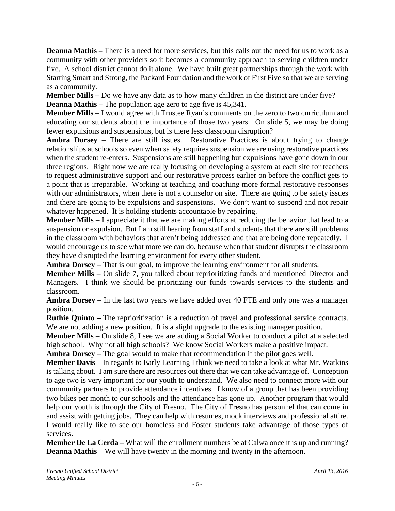**Deanna Mathis** – There is a need for more services, but this calls out the need for us to work as a community with other providers so it becomes a community approach to serving children under five. A school district cannot do it alone. We have built great partnerships through the work with Starting Smart and Strong, the Packard Foundation and the work of First Five so that we are serving as a community.

**Member Mills –** Do we have any data as to how many children in the district are under five?

**Deanna Mathis** – The population age zero to age five is 45,341.

**Member Mills** – I would agree with Trustee Ryan's comments on the zero to two curriculum and educating our students about the importance of those two years. On slide 5, we may be doing fewer expulsions and suspensions, but is there less classroom disruption?

**Ambra Dorsey** – There are still issues. Restorative Practices is about trying to change relationships at schools so even when safety requires suspension we are using restorative practices when the student re-enters. Suspensions are still happening but expulsions have gone down in our three regions. Right now we are really focusing on developing a system at each site for teachers to request administrative support and our restorative process earlier on before the conflict gets to a point that is irreparable. Working at teaching and coaching more formal restorative responses with our administrators, when there is not a counselor on site. There are going to be safety issues and there are going to be expulsions and suspensions. We don't want to suspend and not repair whatever happened. It is holding students accountable by repairing.

**Member Mills** – I appreciate it that we are making efforts at reducing the behavior that lead to a suspension or expulsion. But I am still hearing from staff and students that there are still problems in the classroom with behaviors that aren't being addressed and that are being done repeatedly. I would encourage us to see what more we can do, because when that student disrupts the classroom they have disrupted the learning environment for every other student.

**Ambra Dorsey** – That is our goal, to improve the learning environment for all students.

**Member Mills** – On slide 7, you talked about reprioritizing funds and mentioned Director and Managers. I think we should be prioritizing our funds towards services to the students and classroom.

**Ambra Dorsey** – In the last two years we have added over 40 FTE and only one was a manager position.

**Ruthie Quinto –** The reprioritization is a reduction of travel and professional service contracts. We are not adding a new position. It is a slight upgrade to the existing manager position.

**Member Mills** – On slide 8, I see we are adding a Social Worker to conduct a pilot at a selected high school. Why not all high schools? We know Social Workers make a positive impact.

**Ambra Dorsey** – The goal would to make that recommendation if the pilot goes well.

**Member Davis** – In regards to Early Learning I think we need to take a look at what Mr. Watkins is talking about. I am sure there are resources out there that we can take advantage of. Conception to age two is very important for our youth to understand. We also need to connect more with our community partners to provide attendance incentives. I know of a group that has been providing two bikes per month to our schools and the attendance has gone up. Another program that would help our youth is through the City of Fresno. The City of Fresno has personnel that can come in and assist with getting jobs. They can help with resumes, mock interviews and professional attire. I would really like to see our homeless and Foster students take advantage of those types of services.

**Member De La Cerda** – What will the enrollment numbers be at Calwa once it is up and running? **Deanna Mathis** – We will have twenty in the morning and twenty in the afternoon.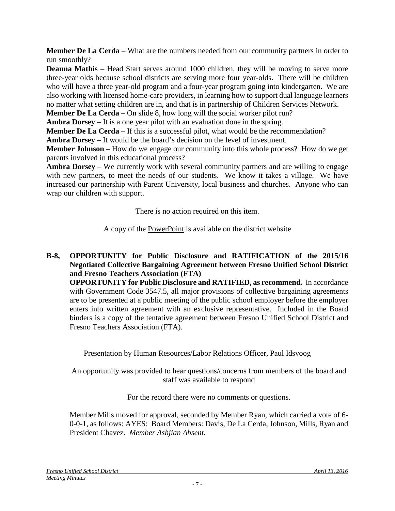**Member De La Cerda** – What are the numbers needed from our community partners in order to run smoothly?

**Deanna Mathis** – Head Start serves around 1000 children, they will be moving to serve more three-year olds because school districts are serving more four year-olds. There will be children who will have a three year-old program and a four-year program going into kindergarten. We are also working with licensed home-care providers, in learning how to support dual language learners no matter what setting children are in, and that is in partnership of Children Services Network.

**Member De La Cerda** – On slide 8, how long will the social worker pilot run?

**Ambra Dorsey** – It is a one year pilot with an evaluation done in the spring.

**Member De La Cerda** – If this is a successful pilot, what would be the recommendation?

**Ambra Dorsey** – It would be the board's decision on the level of investment.

**Member Johnson** – How do we engage our community into this whole process? How do we get parents involved in this educational process?

**Ambra Dorsey** – We currently work with several community partners and are willing to engage with new partners, to meet the needs of our students. We know it takes a village. We have increased our partnership with Parent University, local business and churches. Anyone who can wrap our children with support.

There is no action required on this item.

A copy of the PowerPoint is available on the district website

**B-8, OPPORTUNITY for Public Disclosure and RATIFICATION of the 2015/16 Negotiated Collective Bargaining Agreement between Fresno Unified School District and Fresno Teachers Association (FTA)**

**OPPORTUNITY for Public Disclosure and RATIFIED, as recommend.** In accordance with Government Code 3547.5, all major provisions of collective bargaining agreements are to be presented at a public meeting of the public school employer before the employer enters into written agreement with an exclusive representative. Included in the Board binders is a copy of the tentative agreement between Fresno Unified School District and Fresno Teachers Association (FTA).

Presentation by Human Resources/Labor Relations Officer, Paul Idsvoog

An opportunity was provided to hear questions/concerns from members of the board and staff was available to respond

For the record there were no comments or questions.

Member Mills moved for approval, seconded by Member Ryan, which carried a vote of 6- 0-0-1, as follows: AYES: Board Members: Davis, De La Cerda, Johnson, Mills, Ryan and President Chavez. *Member Ashjian Absent.*